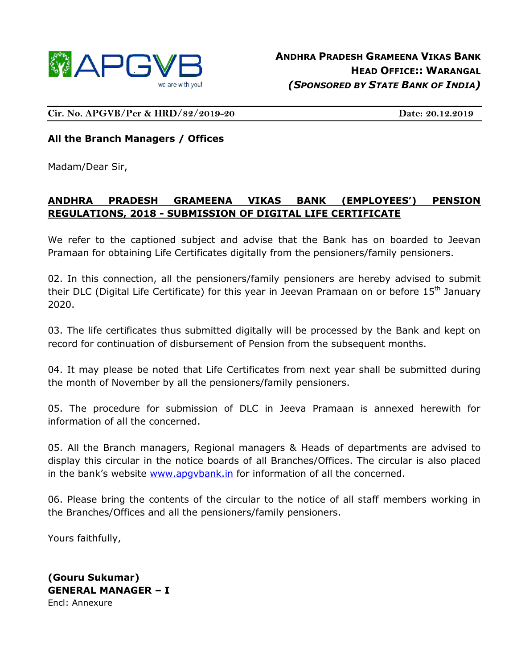

**Cir. No. APGVB/Per & HRD/82/2019-20 Date: 20.12.2019**

### **All the Branch Managers / Offices**

Madam/Dear Sir,

## **ANDHRA PRADESH GRAMEENA VIKAS BANK (EMPLOYEES') PENSION REGULATIONS, 2018 - SUBMISSION OF DIGITAL LIFE CERTIFICATE**

We refer to the captioned subject and advise that the Bank has on boarded to Jeevan Pramaan for obtaining Life Certificates digitally from the pensioners/family pensioners.

02. In this connection, all the pensioners/family pensioners are hereby advised to submit their DLC (Digital Life Certificate) for this year in Jeevan Pramaan on or before 15<sup>th</sup> January 2020.

03. The life certificates thus submitted digitally will be processed by the Bank and kept on record for continuation of disbursement of Pension from the subsequent months.

04. It may please be noted that Life Certificates from next year shall be submitted during the month of November by all the pensioners/family pensioners.

05. The procedure for submission of DLC in Jeeva Pramaan is annexed herewith for information of all the concerned.

05. All the Branch managers, Regional managers & Heads of departments are advised to display this circular in the notice boards of all Branches/Offices. The circular is also placed in the bank's website [www.apgvbank.in](http://www.apgvbank.in/) for information of all the concerned.

06. Please bring the contents of the circular to the notice of all staff members working in the Branches/Offices and all the pensioners/family pensioners.

Yours faithfully,

**(Gouru Sukumar) GENERAL MANAGER – I** Encl: Annexure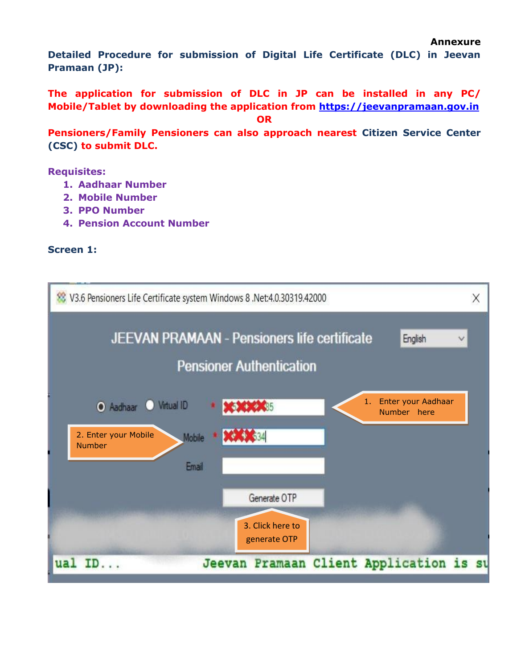```
Annexure
```
**Detailed Procedure for submission of Digital Life Certificate (DLC) in Jeevan Pramaan (JP):**

**The application for submission of DLC in JP can be installed in any PC/ Mobile/Tablet by downloading the application from [https://jeevanpramaan.gov.in](https://jeevanpramaan.gov.in/)**

**OR**

**Pensioners/Family Pensioners can also approach nearest Citizen Service Center (CSC) to submit DLC.**

**Requisites:**

- **1. Aadhaar Number**
- **2. Mobile Number**
- **3. PPO Number**
- **4. Pension Account Number**

### **Screen 1:**

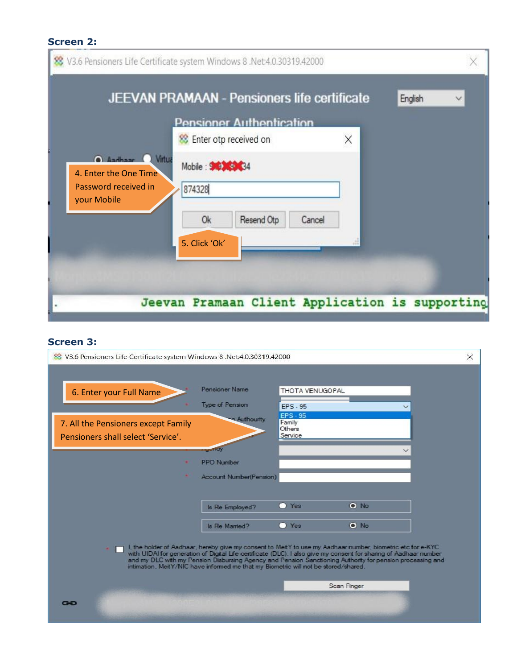# **Screen 2:**

|                                                                              | <b>Pensioner Authentication</b>     |        |   |  |
|------------------------------------------------------------------------------|-------------------------------------|--------|---|--|
|                                                                              | <sup>88</sup> Enter otp received on |        | × |  |
| Andham Vitua<br>4. Enter the One Time<br>Password received in<br>your Mobile | Mobile: 90 34<br>874328             |        |   |  |
|                                                                              | 0k<br>Resend Otp                    | Cancel |   |  |
|                                                                              | 5. Click 'Ok'                       |        |   |  |
|                                                                              |                                     |        |   |  |

# **Screen 3:**

| 2000 V3.6 Pensioners Life Certificate system Windows 8 .Net:4.0.30319.42000                                                                                                                                                                                                                                                                                                                                                          |  |  |  |  |  |
|--------------------------------------------------------------------------------------------------------------------------------------------------------------------------------------------------------------------------------------------------------------------------------------------------------------------------------------------------------------------------------------------------------------------------------------|--|--|--|--|--|
| <b>Pensioner Name</b><br>THOTA VENUGOPAL<br>6. Enter your Full Name<br>Type of Pension<br><b>EPS - 95</b>                                                                                                                                                                                                                                                                                                                            |  |  |  |  |  |
| <b>EPS - 95</b><br>Authourity<br>Family<br>7. All the Pensioners except Family<br>Others<br>Service<br>Pensioners shall select 'Service'.                                                                                                                                                                                                                                                                                            |  |  |  |  |  |
| <u>udfici</u><br><b>PPO Number</b><br><b>Account Number(Pension)</b>                                                                                                                                                                                                                                                                                                                                                                 |  |  |  |  |  |
| $\bullet$ No<br>O Yes<br>Is Re Employed?                                                                                                                                                                                                                                                                                                                                                                                             |  |  |  |  |  |
| O Yes<br>$\bullet$ No<br>Is Re Mamed?                                                                                                                                                                                                                                                                                                                                                                                                |  |  |  |  |  |
| I, the holder of Aadhaar, hereby give my consent to MeitY to use my Aadhaar number, biometric etc for e-KYC<br>with UIDAI for generation of Digital Life certificate (DLC). I also give my consent for sharing of Aadhaar number<br>and my DLC with my Pension Disbursing Agency and Pension Sanctioning Authority for pension processing and<br>intimation. MeitY/NIC have informed me that my Biometric will not be stored/shared. |  |  |  |  |  |
| Scan Finger                                                                                                                                                                                                                                                                                                                                                                                                                          |  |  |  |  |  |
| œ                                                                                                                                                                                                                                                                                                                                                                                                                                    |  |  |  |  |  |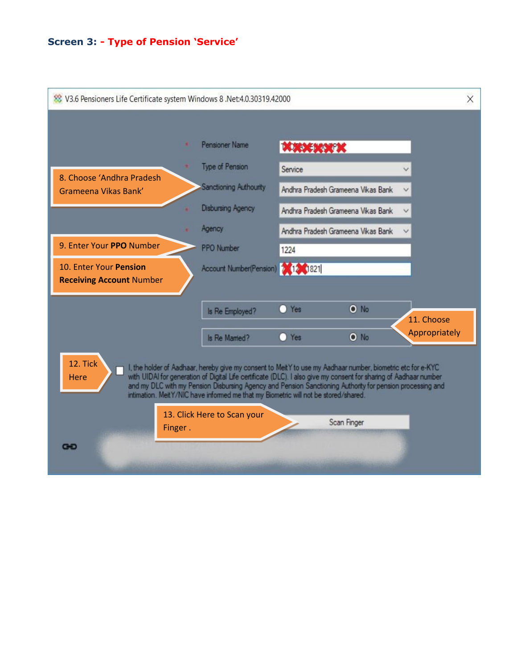#### **Screen 3: - Type of Pension 'Service'**

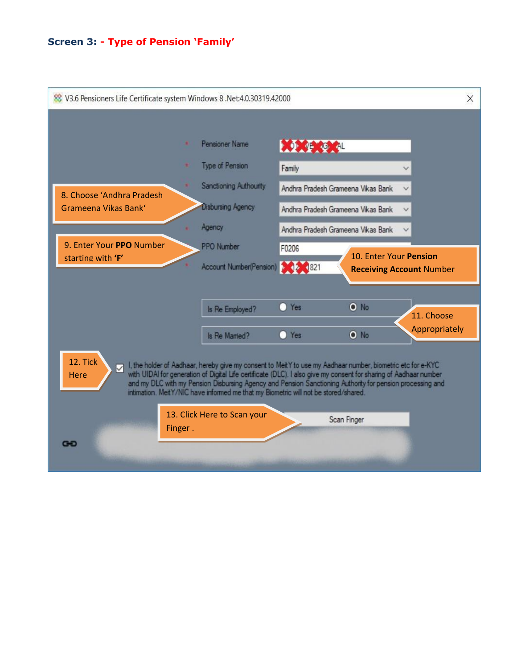#### **Screen 3: - Type of Pension 'Family'**